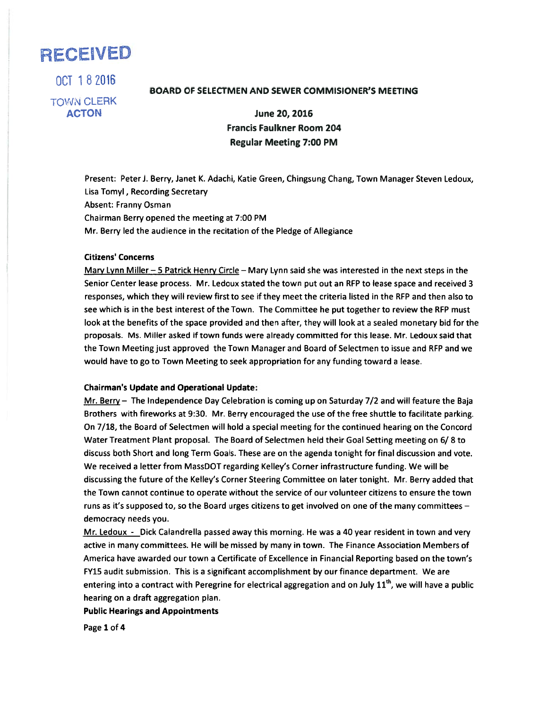# RECEWED

OCT 182016

TOWN CLERK

# BOARD OF SELECTMEN AND SEWER COMMISIONER'S MEETING

ACTON June 20, 2016 Francis Faulkner Room 204 Regular Meeting 7:00 PM

Present: Peter J. Berry, Janet K. Adachi, Katie Green, Chingsung Chang, Town Manager Steven Ledoux, Lisa Tomyl, Recording Secretary Absent: Franny Osman Chairman Berry opened the meeting at 7:00 PM Mr. Berry led the audience in the recitation of the Pledge of Allegiance

#### Citizens' Concerns

Mary Lynn Miller - 5 Patrick Henry Circle - Mary Lynn said she was interested in the next steps in the Senior Center lease process. Mr. Ledoux stated the town pu<sup>t</sup> out an RFP to lease space and received 3 responses, which they will review first to see if they meet the criteria listed in the RFP and then also to see which is in the best interest of the Town. The Committee he pu<sup>t</sup> together to review the RFP must look at the benefits of the space provided and then after, they will look at <sup>a</sup> sealed monetary bid for the proposals. Ms. Miller asked if town funds were already committed for this lease. Mr. Ledoux said that the Town Meeting just approved the Town Manager and Board of Selectmen to issue and REP and we would have to go to Town Meeting to seek appropriation for any funding toward <sup>a</sup> lease.

## Chairman's Update and Operational Update:

Mr. Berry — The Independence Day Celebration is coming up on Saturday 7/2 and will feature the Baja Brothers with fireworks at 9:30. Mr. Berry encouraged the use of the free shuttle to facilitate parking. On 7/18, the Board of Selectmen will hold <sup>a</sup> special meeting for the continued hearing on the Concord Water Treatment Plant proposal. The Board of Selectmen held their Goal Setting meeting on 6/8 to discuss both Short and long Term Goals. These are on the agenda tonight for final discussion and vote. We received <sup>a</sup> letter from MassDOT regarding Kelley's Corner infrastructure funding. We will be discussing the future of the Kelley's Corner Steering Committee on later tonight. Mr. Berry added that the Town cannot continue to operate without the service of our volunteer citizens to ensure the town runs as it's supposed to, so the Board urges citizens to get involved on one of the many committees democracy needs you.

Mr. Ledoux - Dick Calandrella passed away this morning. He was a 40 year resident in town and very active in many committees. He will be missed by many in town. The Finance Association Members of America have awarded our town <sup>a</sup> Certificate of Excellence in Financial Reporting based on the town's FY15 audit submission. This is <sup>a</sup> significant accomplishment by our finance department. We are entering into a contract with Peregrine for electrical aggregation and on July 11<sup>th</sup>, we will have a public hearing on <sup>a</sup> draft aggregation plan.

Public Hearings and Appointments

Page 1 of 4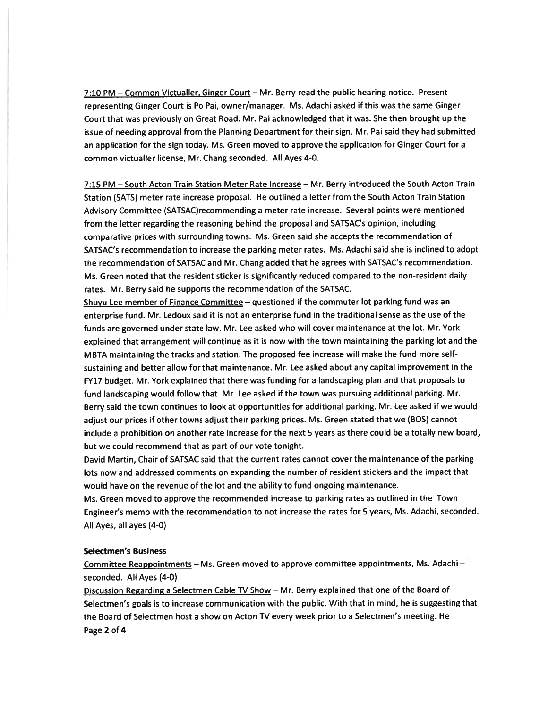7:10 PM - Common Victualler, Ginger Court - Mr. Berry read the public hearing notice. Present representing Ginger Court is Po Pai, owner/manager. Ms. Adachi asked if this was the same Ginger Court that was previously on Great Road. Mr. Pai acknowledged that it was. She then brought up the issue of needing approval from the Planning Department for their sign. Mr. Pai said they had submitted an application for the sign today. Ms. Green moved to approve the application for Ginger Court for <sup>a</sup> common victualler license, Mr. Chang seconded. All Ayes 4-0.

7:15 PM — South Acton Train Station Meter Rate Increase — Mr. Berry introduced the South Acton Train Station (SATS) meter rate increase proposal. He outlined <sup>a</sup> letter from the South Acton Train Station Advisory Committee (SATSAC)recommending <sup>a</sup> meter rate increase. Several points were mentioned from the letter regarding the reasoning behind the proposal and SATSAC's opinion, including comparative prices with surrounding towns. Ms. Green said she accepts the recommendation of SATSAC's recommendation to increase the parking meter rates. Ms. Adachi said she is inclined to adopt the recommendation of SATSAC and Mr. Chang added that he agrees with SATSAC's recommendation. Ms. Green noted that the resident sticker is significantly reduced compared to the non-resident daily rates. Mr. Berry said he supports the recommendation of the SATSAC.

Shuvu Lee member of Finance Committee — questioned if the commuter lot parking fund was an enterprise fund. Mr. Ledoux said it is not an enterprise fund in the traditional sense as the use of the funds are governe<sup>d</sup> under state law. Mr. Lee asked who will cover maintenance at the lot. Mr. York explained that arrangemen<sup>t</sup> will continue as it is now with the town maintaining the parking lot and the MBTA maintaining the tracks and station. The proposed fee increase will make the fund more selfsustaining and better allow for that maintenance. Mr. Lee asked about any capital improvement in the FY17 budget. Mr. York explained that there was funding for <sup>a</sup> landscaping <sup>p</sup>lan and that proposals to fund landscaping would follow that. Mr. Lee asked if the town was pursuing additional parking. Mr. Berry said the town continues to look at opportunities for additional parking. Mr. Lee asked if we would adjust our prices if other towns adjust their parking prices. Ms. Green stated that we (BOS) cannot include <sup>a</sup> prohibition on another rate increase for the next 5 years as there could be <sup>a</sup> totally new board, but we could recommend that as par<sup>t</sup> of our vote tonight.

David Martin, Chair of SATSAC said that the current rates cannot cover the maintenance of the parking lots now and addressed comments on expanding the number of resident stickers and the impact that would have on the revenue of the lot and the ability to fund ongoing maintenance.

Ms. Green moved to approve the recommended increase to parking rates as outlined in the Town Engineer's memo with the recommendation to not increase the rates for <sup>5</sup> years, Ms. Adachi, seconded. All Ayes, all ayes (4-0)

## Selectmen's Business

Committee Reappointments — Ms. Green moved to approve committee appointments, Ms. Adachi seconded. All Ayes (4-0)

Discussion Regarding a Selectmen Cable TV Show - Mr. Berry explained that one of the Board of Selectmen's goals is to increase communication with the public. With that in mind, he is suggesting that the Board of Selectmen host <sup>a</sup> show on Acton TV every week prior to <sup>a</sup> Selectmen's meeting. He Page 2 of 4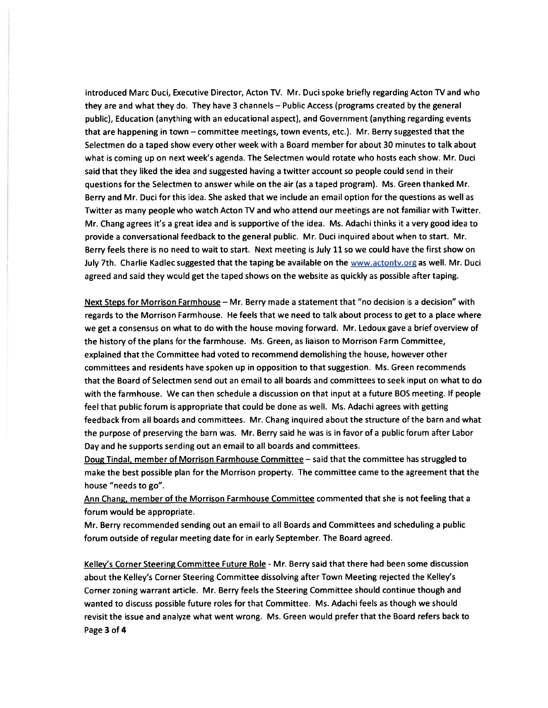introduced Marc Duci, Executive Director, Acton TV. Mr. Duci spoke briefly regarding Acton TV and who they are and what they do. They have 3 channels — Public Access (programs created by the general public), Education (anything with an educational aspect), and Government (anything regarding events that are happening in town — committee meetings, town events, etc.). Mr. Berry suggested that the Selectmen do <sup>a</sup> taped show every other week with <sup>a</sup> Board member for about 30 minutes to talk about what is coming up on next week's agenda. The Selectmen would rotate who hosts each show. Mr. Duci said that they liked the idea and suggested having <sup>a</sup> twitter account so people could send in their questions for the Selectmen to answer while on the air (as <sup>a</sup> taped program). Ms. Green thanked Mr. Berry and Mr. Duci for this idea. She asked that we include an email option for the questions as well as Twitter as many people who watch Acton TV and who attend our meetings are not familiar with Twitter. Mr. Chang agrees it's <sup>a</sup> grea<sup>t</sup> idea and is supportive of the idea. Ms. Adachi thinks it <sup>a</sup> very good idea to provide <sup>a</sup> conversational feedback to the general public. Mr. Duci inquired about when to start. Mr. Berry feels there is no need to wait to start. Next meeting is July 11 so we could have the first show on July 7th. Charlie Kadlec suggested that the taping be available on the www.actontv.org as well. Mr. Duci agreed and said they would ge<sup>t</sup> the taped shows on the website as quickly as possible after taping.

Next Steps for Morrison Farmhouse - Mr. Berry made a statement that "no decision is a decision" with regards to the Morrison Farmhouse. He feels that we need to talk about process to ge<sup>t</sup> to <sup>a</sup> place where we ge<sup>t</sup> <sup>a</sup> consensus on what to do with the house moving forward. Mr. Ledoux gave <sup>a</sup> brief overview of the history of the plans for the farmhouse. Ms. Green, as liaison to Morrison Farm Committee, explained that the Committee had voted to recommend demolishing the house, however other committees and residents have spoken up in opposition to that suggestion. Ms. Green recommends that the Board of Selectmen send out an email to all boards and committees to seek input on what to do with the farmhouse. We can then schedule <sup>a</sup> discussion on that input at <sup>a</sup> future BOS meeting. If people feel that public forum is appropriate that could be done as well. Ms. Adachi agrees with getting feedback from all boards and committees. Mr. Chang inquired about the structure of the barn and what the purpose of preserving the barn was. Mr. Berry said he was is in favor of <sup>a</sup> public forum after Labor Day and he supports sending out an email to all boards and committees.

Doug Tindal, member of Morrison Farmhouse Committee - said that the committee has struggled to make the best possible plan for the Morrison property. The committee came to the agreemen<sup>t</sup> that the house "needs to go".

Ann Chang, member of the Morrison Farmhouse Committee commented that she is not feeling that a forum would be appropriate.

Mr. Berry recommended sending out an email to all Boards and Committees and scheduling <sup>a</sup> public forum outside of regular meeting date for in early September. The Board agreed.

Kelley's Corner Steering Committee Future Role - Mr. Berry said that there had been some discussion about the Kelley's Corner Steering Committee dissolving after Town Meeting rejected the Kelley's Corner zoning warrant article. Mr. Berry feels the Steering Committee should continue though and wanted to discuss possible future roles for that Committee. Ms. Adachi feels as though we should revisit the issue and analyze what went wrong. Ms. Green would prefer that the Board refers back to Page 3 of 4